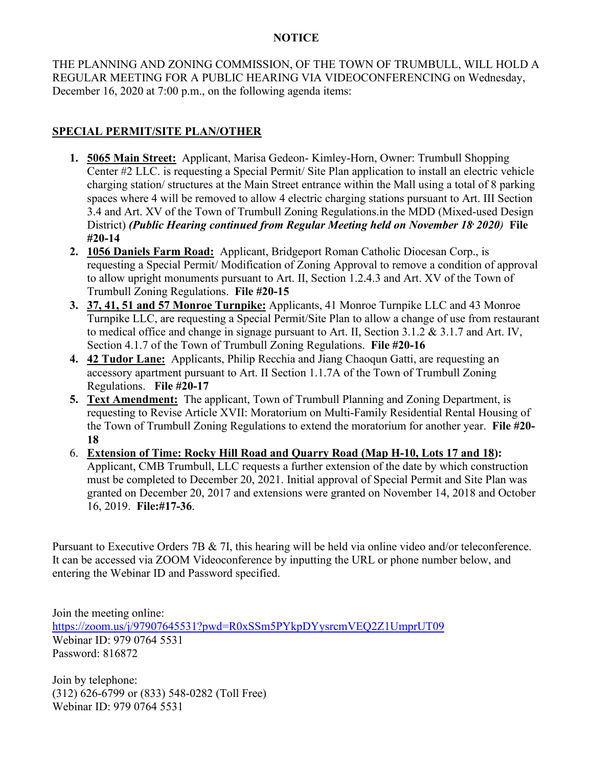## **NOTICE**

THE PLANNING AND ZONING COMMISSION, OF THE TOWN OF TRUMBULL, WILL HOLD A REGULAR MEETING FOR A PUBLIC HEARING VIA VIDEOCONFERENCING on Wednesday, December 16, 2020 at 7:00 p.m., on the following agenda items:

## **SPECIAL PERMIT/SITE PLAN/OTHER**

- **1. 5065 Main Street:** Applicant, Marisa Gedeon- Kimley-Horn, Owner: Trumbull Shopping Center #2 LLC. is requesting a Special Permit/ Site Plan application to install an electric vehicle charging station/ structures at the Main Street entrance within the Mall using a total of 8 parking spaces where 4 will be removed to allow 4 electric charging stations pursuant to Art. III Section 3.4 and Art. XV of the Town of Trumbull Zoning Regulations.in the MDD (Mixed-used Design District) *(Public Hearing continued from Regular Meeting held on November 18, 2020)* **File #20-14**
- **2. 1056 Daniels Farm Road:** Applicant, Bridgeport Roman Catholic Diocesan Corp., is requesting a Special Permit/ Modification of Zoning Approval to remove a condition of approval to allow upright monuments pursuant to Art. II, Section 1.2.4.3 and Art. XV of the Town of Trumbull Zoning Regulations. **File #20-15**
- **3. 37, 41, 51 and 57 Monroe Turnpike:** Applicants, 41 Monroe Turnpike LLC and 43 Monroe Turnpike LLC, are requesting a Special Permit/Site Plan to allow a change of use from restaurant to medical office and change in signage pursuant to Art. II, Section 3.1.2 & 3.1.7 and Art. IV, Section 4.1.7 of the Town of Trumbull Zoning Regulations. **File #20-16**
- **4. 42 Tudor Lane:** Applicants, Philip Recchia and Jiang Chaoqun Gatti, are requesting an accessory apartment pursuant to Art. II Section 1.1.7A of the Town of Trumbull Zoning Regulations. **File #20-17**
- **5. Text Amendment:** The applicant, Town of Trumbull Planning and Zoning Department, is requesting to Revise Article XVII: Moratorium on Multi-Family Residential Rental Housing of the Town of Trumbull Zoning Regulations to extend the moratorium for another year. **File #20- 18**
- 6. **Extension of Time: Rocky Hill Road and Quarry Road (Map H-10, Lots 17 and 18):** Applicant, CMB Trumbull, LLC requests a further extension of the date by which construction must be completed to December 20, 2021. Initial approval of Special Permit and Site Plan was granted on December 20, 2017 and extensions were granted on November 14, 2018 and October 16, 2019. **File:#17-36**.

Pursuant to Executive Orders 7B & 7I, this hearing will be held via online video and/or teleconference. It can be accessed via ZOOM Videoconference by inputting the URL or phone number below, and entering the Webinar ID and Password specified.

Join the meeting online: <https://zoom.us/j/97907645531?pwd=R0xSSm5PYkpDYysrcmVEQ2Z1UmprUT09> Webinar ID: 979 0764 5531 Password: 816872

Join by telephone: (312) 626-6799 or (833) 548-0282 (Toll Free) Webinar ID: 979 0764 5531